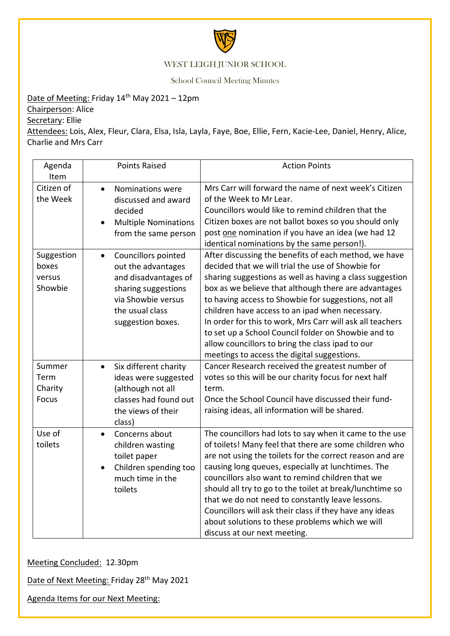

## WEST LEIGH JUNIOR SCHOOL

School Council Meeting Minutes

Date of Meeting: Friday 14<sup>th</sup> May 2021 – 12pm

Chairperson: Alice

Secretary: Ellie

Attendees: Lois, Alex, Fleur, Clara, Elsa, Isla, Layla, Faye, Boe, Ellie, Fern, Kacie-Lee, Daniel, Henry, Alice, Charlie and Mrs Carr

| Agenda<br>Item                            | <b>Points Raised</b>                                                                                                                                                | <b>Action Points</b>                                                                                                                                                                                                                                                                                                                                                                                                                                                                                                                                             |
|-------------------------------------------|---------------------------------------------------------------------------------------------------------------------------------------------------------------------|------------------------------------------------------------------------------------------------------------------------------------------------------------------------------------------------------------------------------------------------------------------------------------------------------------------------------------------------------------------------------------------------------------------------------------------------------------------------------------------------------------------------------------------------------------------|
| Citizen of<br>the Week                    | Nominations were<br>$\bullet$<br>discussed and award<br>decided<br><b>Multiple Nominations</b><br>from the same person                                              | Mrs Carr will forward the name of next week's Citizen<br>of the Week to Mr Lear.<br>Councillors would like to remind children that the<br>Citizen boxes are not ballot boxes so you should only<br>post one nomination if you have an idea (we had 12<br>identical nominations by the same person!).                                                                                                                                                                                                                                                             |
| Suggestion<br>boxes<br>versus<br>Showbie  | Councillors pointed<br>$\bullet$<br>out the advantages<br>and disadvantages of<br>sharing suggestions<br>via Showbie versus<br>the usual class<br>suggestion boxes. | After discussing the benefits of each method, we have<br>decided that we will trial the use of Showbie for<br>sharing suggestions as well as having a class suggestion<br>box as we believe that although there are advantages<br>to having access to Showbie for suggestions, not all<br>children have access to an ipad when necessary.<br>In order for this to work, Mrs Carr will ask all teachers<br>to set up a School Council folder on Showbie and to<br>allow councillors to bring the class ipad to our<br>meetings to access the digital suggestions. |
| Summer<br>Term<br>Charity<br><b>Focus</b> | Six different charity<br>$\bullet$<br>ideas were suggested<br>(although not all<br>classes had found out<br>the views of their<br>class)                            | Cancer Research received the greatest number of<br>votes so this will be our charity focus for next half<br>term.<br>Once the School Council have discussed their fund-<br>raising ideas, all information will be shared.                                                                                                                                                                                                                                                                                                                                        |
| Use of<br>toilets                         | Concerns about<br>$\bullet$<br>children wasting<br>toilet paper<br>Children spending too<br>much time in the<br>toilets                                             | The councillors had lots to say when it came to the use<br>of toilets! Many feel that there are some children who<br>are not using the toilets for the correct reason and are<br>causing long queues, especially at lunchtimes. The<br>councillors also want to remind children that we<br>should all try to go to the toilet at break/lunchtime so<br>that we do not need to constantly leave lessons.<br>Councillors will ask their class if they have any ideas<br>about solutions to these problems which we will<br>discuss at our next meeting.            |

Meeting Concluded: 12.30pm

Date of Next Meeting: Friday 28<sup>th</sup> May 2021

Agenda Items for our Next Meeting: